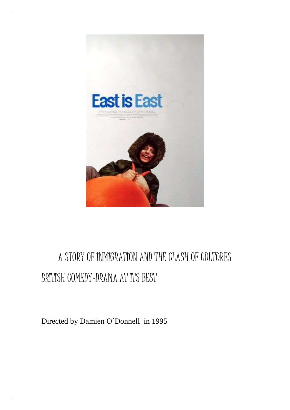

## A STORY OF INMIGRATION AND THE CLASH OF COLTORES BRITISH COMEDY-DRAMA AT ITS BEST

Directed by Damien O´Donnell in 1995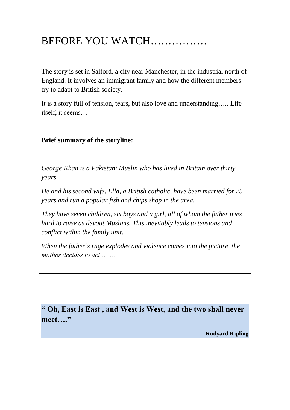## BEFORE YOU WATCH…………….

The story is set in Salford, a city near Manchester, in the industrial north of England. It involves an immigrant family and how the different members try to adapt to British society.

It is a story full of tension, tears, but also love and understanding….. Life itself, it seems…

## **Brief summary of the storyline:**

*George Khan is a Pakistani Muslin who has lived in Britain over thirty years.*

*He and his second wife, Ella, a British catholic, have been married for 25 years and run a popular fish and chips shop in the area.*

*They have seven children, six boys and a girl, all of whom the father tries hard to raise as devout Muslims. This inevitably leads to tensions and conflict within the family unit.*

*When the father´s rage explodes and violence comes into the picture, the mother decides to act……..*

**" Oh, East is East , and West is West, and the two shall never meet…."**

**Rudyard Kipling**